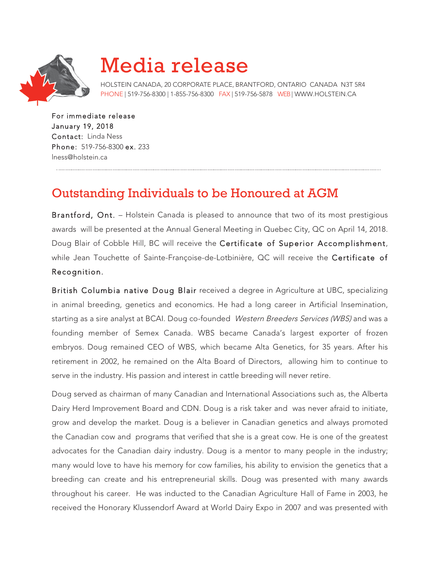

## Media release

HOLSTEIN CANADA, 20 CORPORATE PLACE, BRANTFORD, ONTARIO CANADA N3T 5R4 PHONE | 519-756-8300 | 1-855-756-8300 FAX | 519-756-5878 WEB| WWW.HOLSTEIN.CA

For immediate release January 19, 2018 Contact: Linda Ness Phone: 519-756-8300 ex. 233 lness@holstein.ca

## Outstanding Individuals to be Honoured at AGM

Brantford, Ont. - Holstein Canada is pleased to announce that two of its most prestigious awards will be presented at the Annual General Meeting in Quebec City, QC on April 14, 2018. Doug Blair of Cobble Hill, BC will receive the Certificate of Superior Accomplishment, while Jean Touchette of Sainte-Françoise-de-Lotbinière, QC will receive the Certificate of Recognition.

British Columbia native Doug Blair received a degree in Agriculture at UBC, specializing in animal breeding, genetics and economics. He had a long career in Artificial Insemination, starting as a sire analyst at BCAI. Doug co-founded Western Breeders Services (WBS) and was a founding member of Semex Canada. WBS became Canada's largest exporter of frozen embryos. Doug remained CEO of WBS, which became Alta Genetics, for 35 years. After his retirement in 2002, he remained on the Alta Board of Directors, allowing him to continue to serve in the industry. His passion and interest in cattle breeding will never retire.

Doug served as chairman of many Canadian and International Associations such as, the Alberta Dairy Herd Improvement Board and CDN. Doug is a risk taker and was never afraid to initiate, grow and develop the market. Doug is a believer in Canadian genetics and always promoted the Canadian cow and programs that verified that she is a great cow. He is one of the greatest advocates for the Canadian dairy industry. Doug is a mentor to many people in the industry; many would love to have his memory for cow families, his ability to envision the genetics that a breeding can create and his entrepreneurial skills. Doug was presented with many awards throughout his career. He was inducted to the Canadian Agriculture Hall of Fame in 2003, he received the Honorary Klussendorf Award at World Dairy Expo in 2007 and was presented with